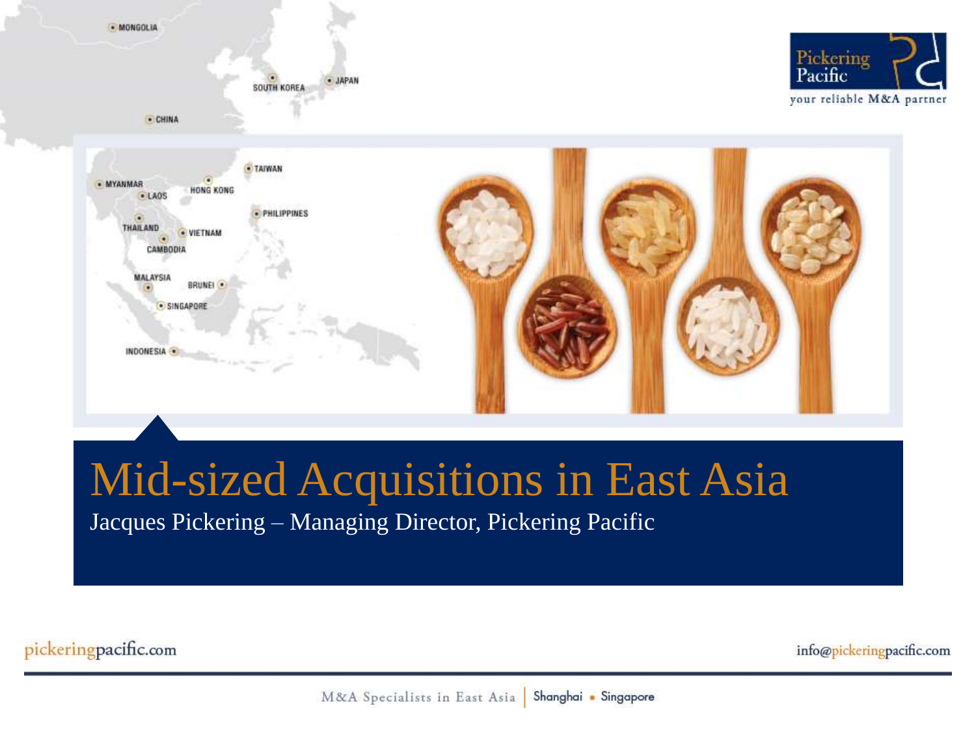

# Mid-sized Acquisitions in East Asia

Jacques Pickering – Managing Director, Pickering Pacific

pickeringpacific.com

info@pickeringpacific.com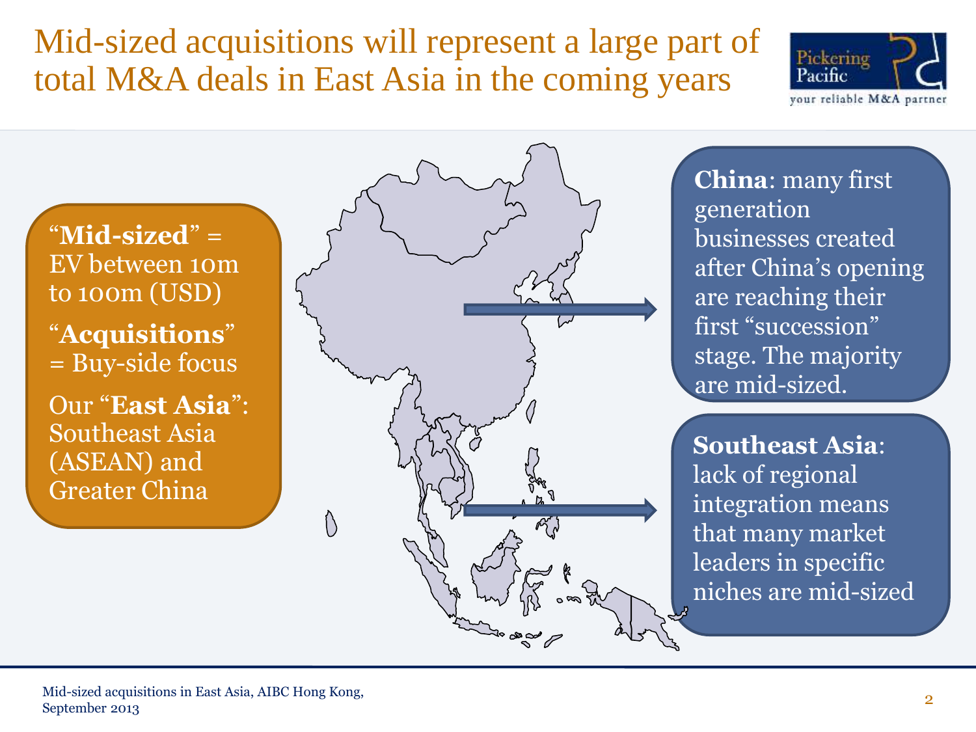#### Mid-sized acquisitions will represent a large part of total M&A deals in East Asia in the coming years



"**Mid-sized**" = EV between 10m to 100m (USD) "**Acquisitions**" = Buy-side focus

Our "**East Asia**": Southeast Asia (ASEAN) and Greater China



**China**: many first generation businesses created after China's opening are reaching their first "succession" stage. The majority are mid-sized.

**Southeast Asia**: lack of regional integration means that many market leaders in specific niches are mid-sized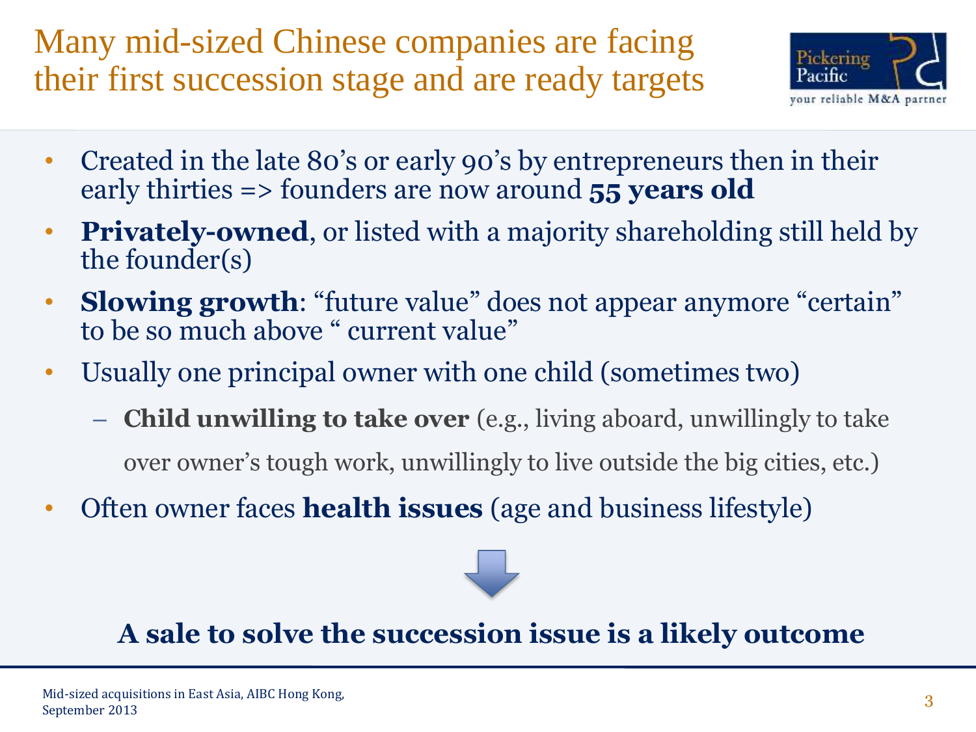Many mid-sized Chinese companies are facing their first succession stage and are ready targets



- Created in the late 80's or early 90's by entrepreneurs then in their early thirties => founders are now around **55 years old**
- **Privately-owned**, or listed with a majority shareholding still held by the founder(s)
- **Slowing growth**: "future value" does not appear anymore "certain" to be so much above " current value"
- Usually one principal owner with one child (sometimes two)
	- **Child unwilling to take over** (e.g., living aboard, unwillingly to take over owner's tough work, unwillingly to live outside the big cities, etc.)
- Often owner faces **health issues** (age and business lifestyle)



#### **A sale to solve the succession issue is a likely outcome**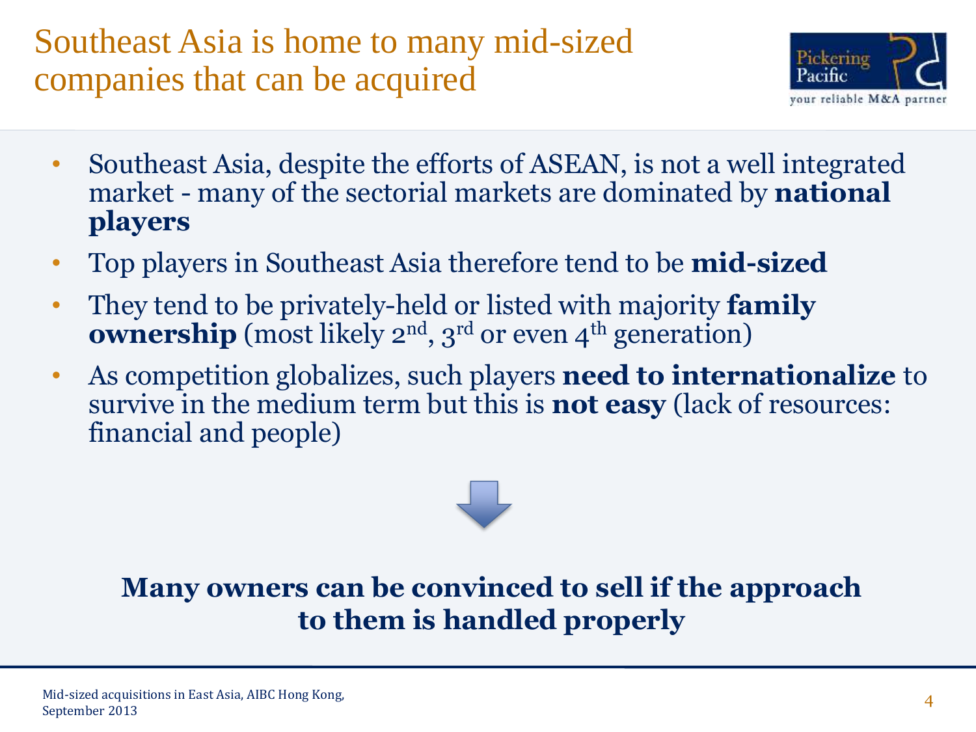Southeast Asia is home to many mid-sized companies that can be acquired



- Southeast Asia, despite the efforts of ASEAN, is not a well integrated market - many of the sectorial markets are dominated by **national players**
- Top players in Southeast Asia therefore tend to be **mid-sized**
- They tend to be privately-held or listed with majority **family ownership** (most likely 2<sup>nd</sup>, 3<sup>rd</sup> or even 4<sup>th</sup> generation)
- As competition globalizes, such players **need to internationalize** to survive in the medium term but this is **not easy** (lack of resources: financial and people)

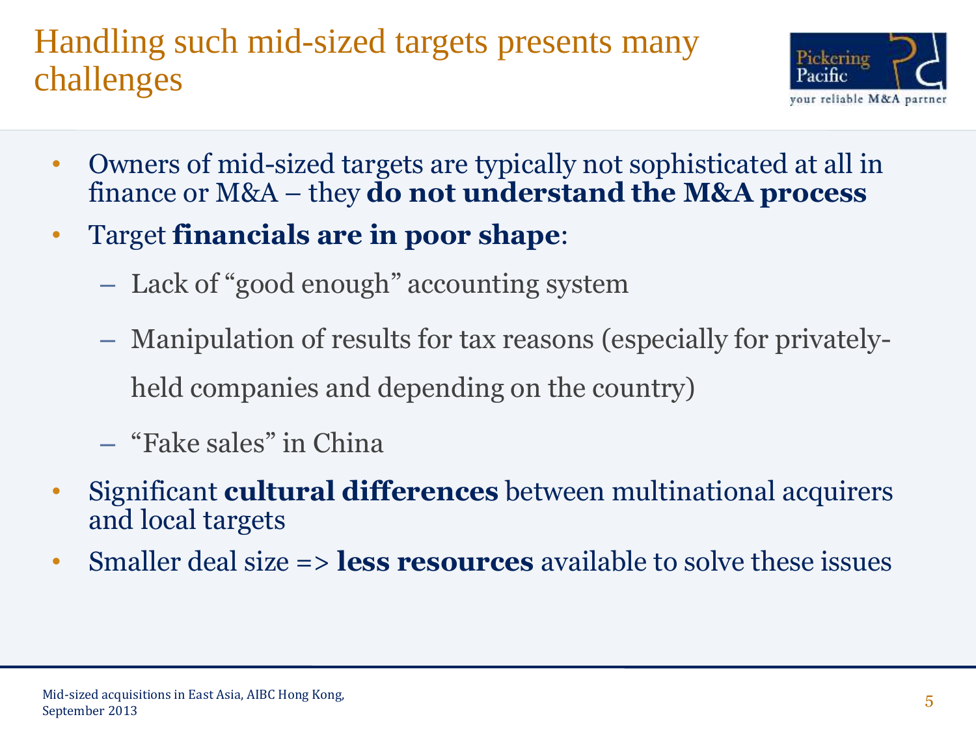### Handling such mid-sized targets presents many challenges



- Owners of mid-sized targets are typically not sophisticated at all in finance or M&A – they **do not understand the M&A process**
- Target **financials are in poor shape**:
	- Lack of "good enough" accounting system
	- Manipulation of results for tax reasons (especially for privatelyheld companies and depending on the country)
	- "Fake sales" in China
- Significant **cultural differences** between multinational acquirers and local targets
- Smaller deal size => **less resources** available to solve these issues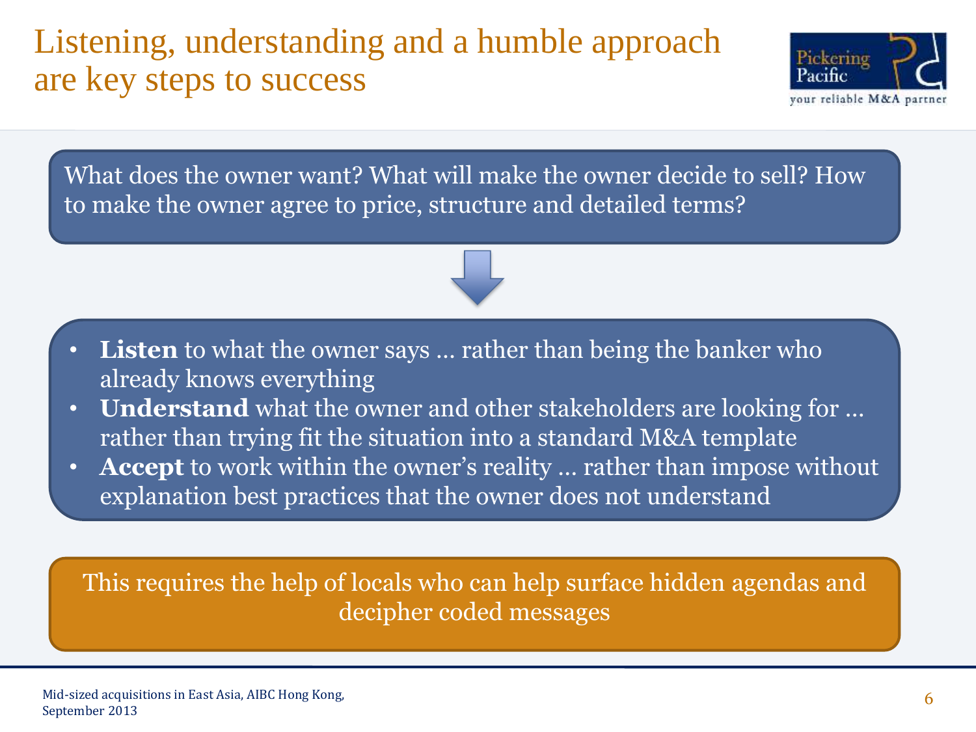#### Listening, understanding and a humble approach are key steps to success



What does the owner want? What will make the owner decide to sell? How to make the owner agree to price, structure and detailed terms?



- **Listen** to what the owner says ... rather than being the banker who already knows everything
- **Understand** what the owner and other stakeholders are looking for … rather than trying fit the situation into a standard M&A template
- **Accept** to work within the owner's reality ... rather than impose without explanation best practices that the owner does not understand

This requires the help of locals who can help surface hidden agendas and decipher coded messages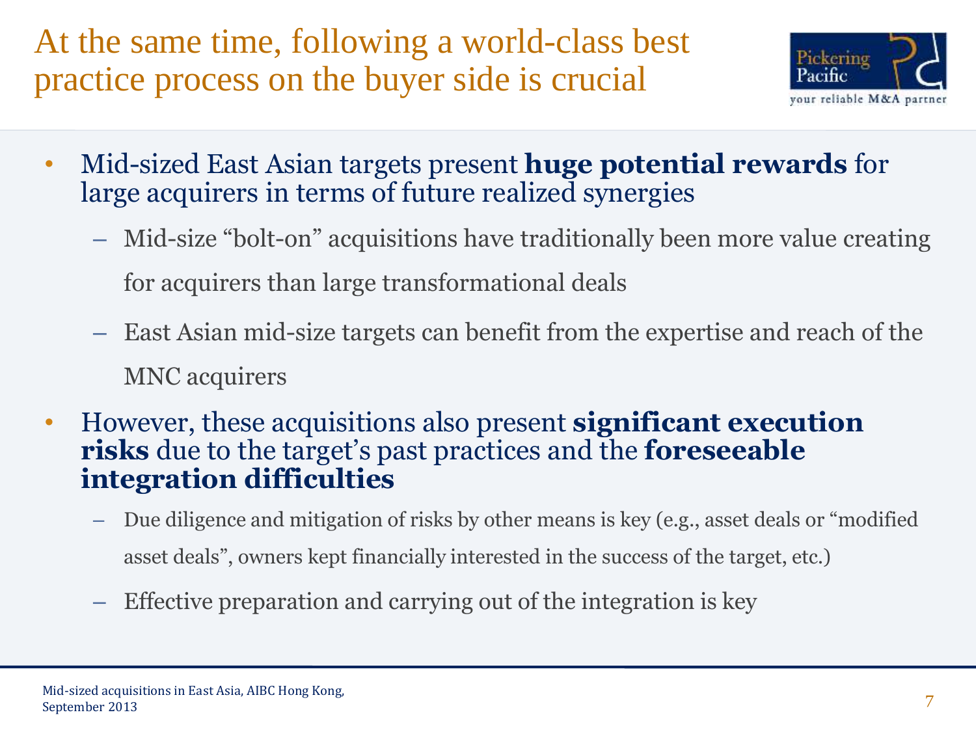At the same time, following a world-class best practice process on the buyer side is crucial



- Mid-sized East Asian targets present **huge potential rewards** for large acquirers in terms of future realized synergies
	- Mid-size "bolt-on" acquisitions have traditionally been more value creating for acquirers than large transformational deals
	- East Asian mid-size targets can benefit from the expertise and reach of the MNC acquirers
- However, these acquisitions also present **significant execution risks** due to the target's past practices and the **foreseeable integration difficulties**
	- Due diligence and mitigation of risks by other means is key (e.g., asset deals or "modified asset deals", owners kept financially interested in the success of the target, etc.)
	- Effective preparation and carrying out of the integration is key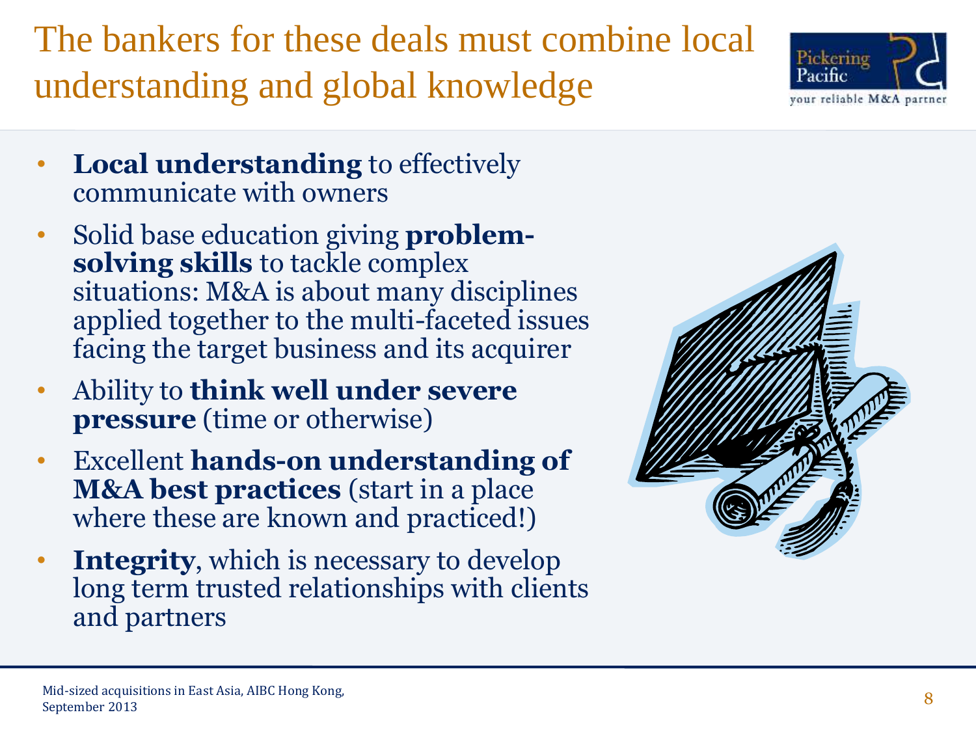## The bankers for these deals must combine local understanding and global knowledge

- **Local understanding** to effectively communicate with owners
- Solid base education giving **problemsolving skills** to tackle complex situations: M&A is about many disciplines applied together to the multi-faceted issues facing the target business and its acquirer
- Ability to **think well under severe pressure** (time or otherwise)
- Excellent **hands-on understanding of M&A best practices** (start in a place where these are known and practiced!)
- **Integrity**, which is necessary to develop long term trusted relationships with clients and partners